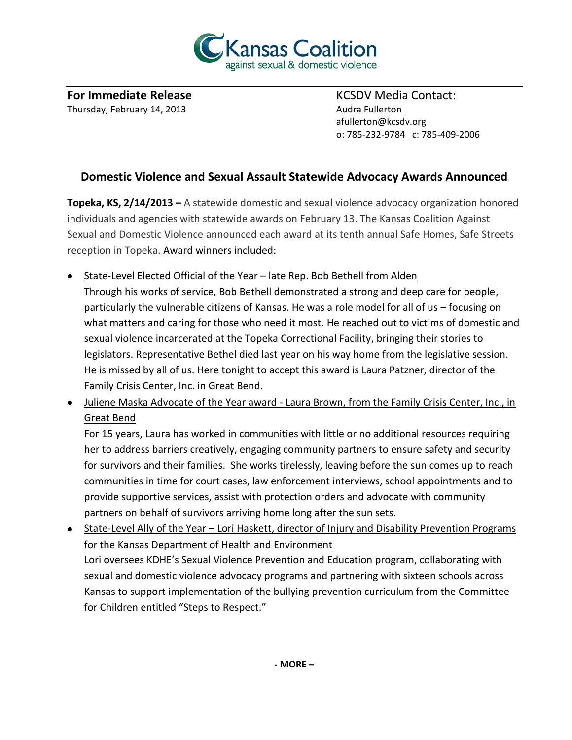

**For Immediate Release State Contact:** KCSDV Media Contact: Thursday, February 14, 2013 **Audra Fullerton** Audra Fullerton

afullerton@kcsdv.org o: 785-232-9784 c: 785-409-2006

## **Domestic Violence and Sexual Assault Statewide Advocacy Awards Announced**

**Topeka, KS, 2/14/2013 –** A statewide domestic and sexual violence advocacy organization honored individuals and agencies with statewide awards on February 13. The Kansas Coalition Against Sexual and Domestic Violence announced each award at its tenth annual Safe Homes, Safe Streets reception in Topeka. Award winners included:

• State-Level Elected Official of the Year – late Rep. Bob Bethell from Alden

Through his works of service, Bob Bethell demonstrated a strong and deep care for people, particularly the vulnerable citizens of Kansas. He was a role model for all of us – focusing on what matters and caring for those who need it most. He reached out to victims of domestic and sexual violence incarcerated at the Topeka Correctional Facility, bringing their stories to legislators. Representative Bethel died last year on his way home from the legislative session. He is missed by all of us. Here tonight to accept this award is Laura Patzner, director of the Family Crisis Center, Inc. in Great Bend.

Juliene Maska Advocate of the Year award - Laura Brown, from the Family Crisis Center, Inc., in Great Bend

For 15 years, Laura has worked in communities with little or no additional resources requiring her to address barriers creatively, engaging community partners to ensure safety and security for survivors and their families. She works tirelessly, leaving before the sun comes up to reach communities in time for court cases, law enforcement interviews, school appointments and to provide supportive services, assist with protection orders and advocate with community partners on behalf of survivors arriving home long after the sun sets.

State-Level Ally of the Year – Lori Haskett, director of Injury and Disability Prevention Programs for the Kansas Department of Health and Environment

Lori oversees KDHE's Sexual Violence Prevention and Education program, collaborating with sexual and domestic violence advocacy programs and partnering with sixteen schools across Kansas to support implementation of the bullying prevention curriculum from the Committee for Children entitled "Steps to Respect."